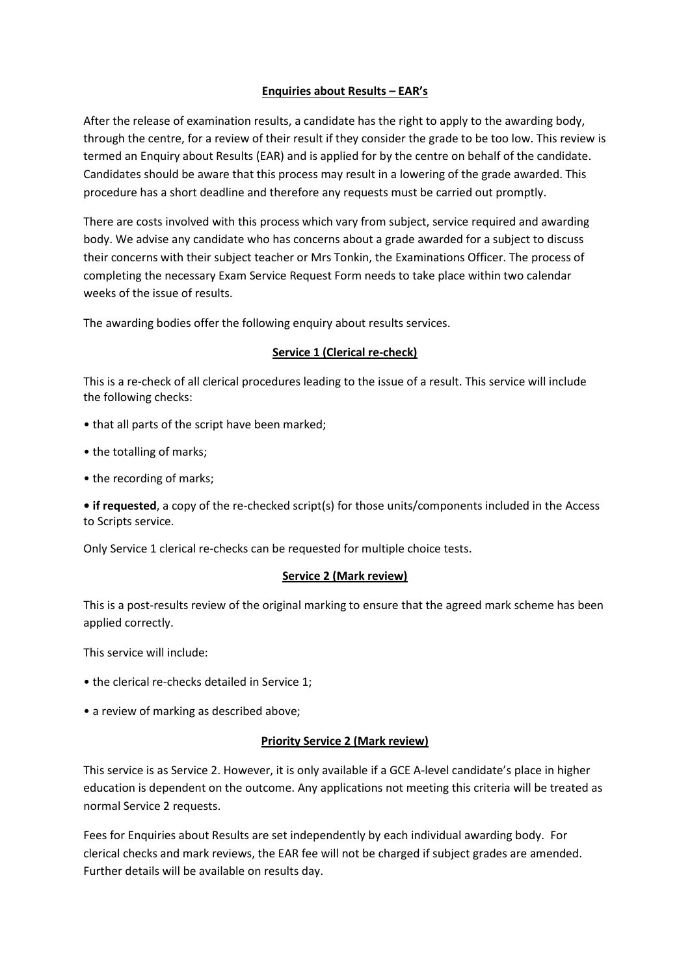# **Enquiries about Results – EAR's**

After the release of examination results, a candidate has the right to apply to the awarding body, through the centre, for a review of their result if they consider the grade to be too low. This review is termed an Enquiry about Results (EAR) and is applied for by the centre on behalf of the candidate. Candidates should be aware that this process may result in a lowering of the grade awarded. This procedure has a short deadline and therefore any requests must be carried out promptly.

There are costs involved with this process which vary from subject, service required and awarding body. We advise any candidate who has concerns about a grade awarded for a subject to discuss their concerns with their subject teacher or Mrs Tonkin, the Examinations Officer. The process of completing the necessary Exam Service Request Form needs to take place within two calendar weeks of the issue of results.

The awarding bodies offer the following enquiry about results services.

#### **Service 1 (Clerical re-check)**

This is a re-check of all clerical procedures leading to the issue of a result. This service will include the following checks:

- that all parts of the script have been marked;
- the totalling of marks;
- the recording of marks;

**• if requested**, a copy of the re-checked script(s) for those units/components included in the Access to Scripts service.

Only Service 1 clerical re-checks can be requested for multiple choice tests.

# **Service 2 (Mark review)**

This is a post-results review of the original marking to ensure that the agreed mark scheme has been applied correctly.

This service will include:

- the clerical re-checks detailed in Service 1;
- a review of marking as described above;

# **Priority Service 2 (Mark review)**

This service is as Service 2. However, it is only available if a GCE A-level candidate's place in higher education is dependent on the outcome. Any applications not meeting this criteria will be treated as normal Service 2 requests.

Fees for Enquiries about Results are set independently by each individual awarding body. For clerical checks and mark reviews, the EAR fee will not be charged if subject grades are amended. Further details will be available on results day.